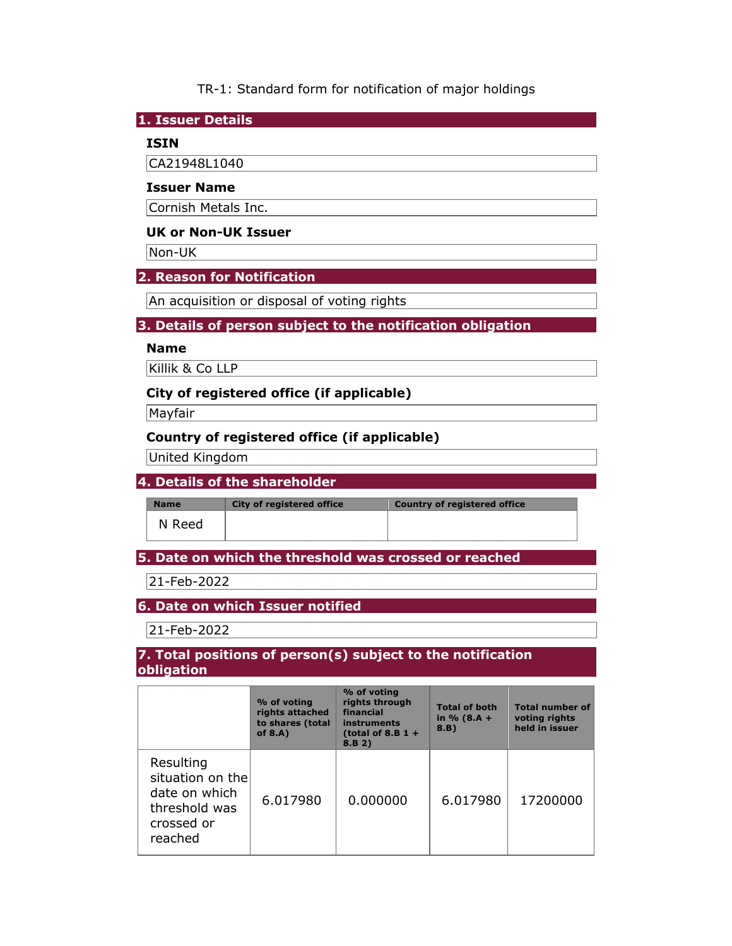TR-1: Standard form for notification of major holdings

#### **1. Issuer Details**

## **ISIN**

CA21948L1040

#### **Issuer Name**

Cornish Metals Inc.

# **UK or Non-UK Issuer**

Non-UK

# **2. Reason for Notification**

An acquisition or disposal of voting rights

## **3. Details of person subject to the notification obligation**

# **Name**

Killik & Co LLP

## **City of registered office (if applicable)**

Mayfair

# **Country of registered office (if applicable)**

United Kingdom

# **4. Details of the shareholder**

**Name** City of registered office **Country of registered office** 

N Reed

# **5. Date on which the threshold was crossed or reached**

21-Feb-2022

# **6. Date on which Issuer notified**

21-Feb-2022

#### **7. Total positions of person(s) subject to the notification obligation**

|                                                                                          | % of voting<br>rights attached<br>to shares (total<br>of $8.A$ ) | % of voting<br>rights through<br>financial<br><b>instruments</b><br>(total of 8.B $1 +$<br>8.B 2) | <b>Total of both</b><br>in $% (8.A +$<br>8.B) | <b>Total number of</b><br>voting rights<br>held in issuer |
|------------------------------------------------------------------------------------------|------------------------------------------------------------------|---------------------------------------------------------------------------------------------------|-----------------------------------------------|-----------------------------------------------------------|
| Resulting<br>situation on the<br>date on which<br>threshold was<br>crossed or<br>reached | 6.017980                                                         | 0.000000                                                                                          | 6.017980                                      | 17200000                                                  |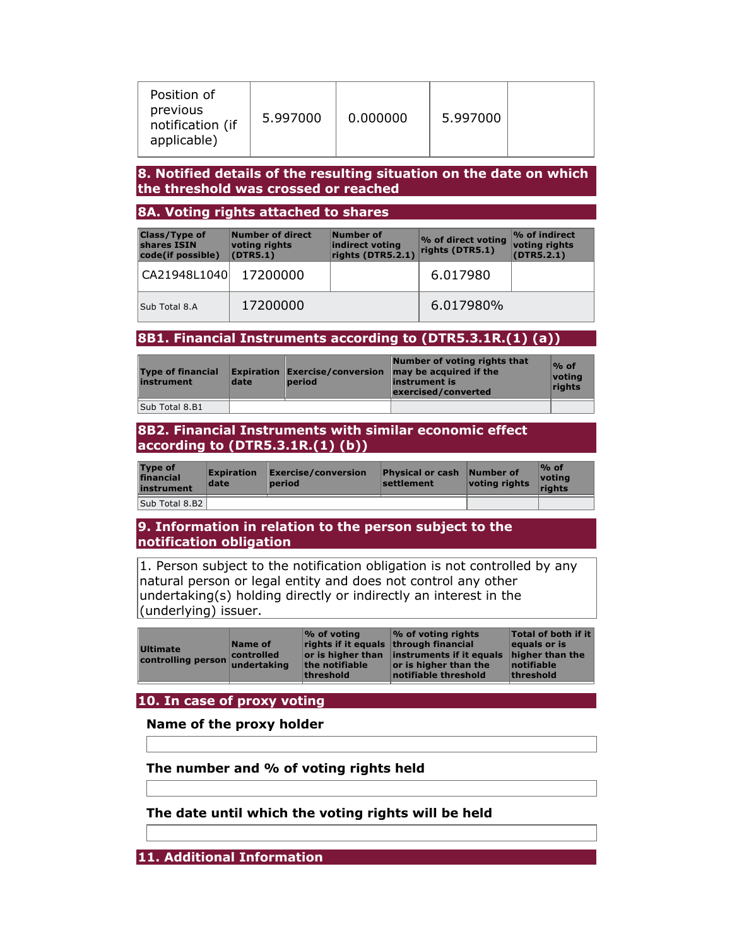| Position of<br>previous<br>notification (if<br>applicable) | 5.997000 | 0.000000 | 5.997000 |  |
|------------------------------------------------------------|----------|----------|----------|--|
|------------------------------------------------------------|----------|----------|----------|--|

#### **8. Notified details of the resulting situation on the date on which the threshold was crossed or reached**

## **8A. Voting rights attached to shares**

| <b>Class/Type of</b><br>shares ISIN<br>code(if possible) | Number of direct<br>voting rights<br>(DTR5.1) | Number of<br>indirect voting<br>rights (DTR5.2.1) | % of direct voting<br>rights (DTR5.1) | $\%$ of indirect<br>voting rights<br>(DTR5.2.1) |
|----------------------------------------------------------|-----------------------------------------------|---------------------------------------------------|---------------------------------------|-------------------------------------------------|
| CA21948L1040 17200000                                    |                                               |                                                   | 6.017980                              |                                                 |
| Sub Total 8.A                                            | 17200000                                      |                                                   | 6.017980%                             |                                                 |

# **8B1. Financial Instruments according to (DTR5.3.1R.(1) (a))**

| <b>Type of financial</b><br>instrument | date | $\mathsf{\mathsf{Expiration}}$ Exercise/conversion<br><b>period</b> | Number of voting rights that<br>may be acquired if the<br>instrument is<br>exercised/converted | $\%$ of<br>voting<br>rights |
|----------------------------------------|------|---------------------------------------------------------------------|------------------------------------------------------------------------------------------------|-----------------------------|
| Sub Total 8.B1                         |      |                                                                     |                                                                                                |                             |

## **8B2. Financial Instruments with similar economic effect according to (DTR5.3.1R.(1) (b))**

| <b>Type of</b><br>financial<br>instrument | <b>Expiration</b><br>date | $\mathsf{Exercise}/\mathsf{conversion}$<br>period | <b>Physical or cash Number of</b><br>settlement | voting rights | $\%$ of<br>voting<br>riahts |
|-------------------------------------------|---------------------------|---------------------------------------------------|-------------------------------------------------|---------------|-----------------------------|
| Sub Total 8.B2                            |                           |                                                   |                                                 |               |                             |

## **9. Information in relation to the person subject to the notification obligation**

1. Person subject to the notification obligation is not controlled by any natural person or legal entity and does not control any other undertaking(s) holding directly or indirectly an interest in the (underlying) issuer.

|--|

## **10. In case of proxy voting**

## **Name of the proxy holder**

**The number and % of voting rights held** 

**The date until which the voting rights will be held** 

**11. Additional Information**